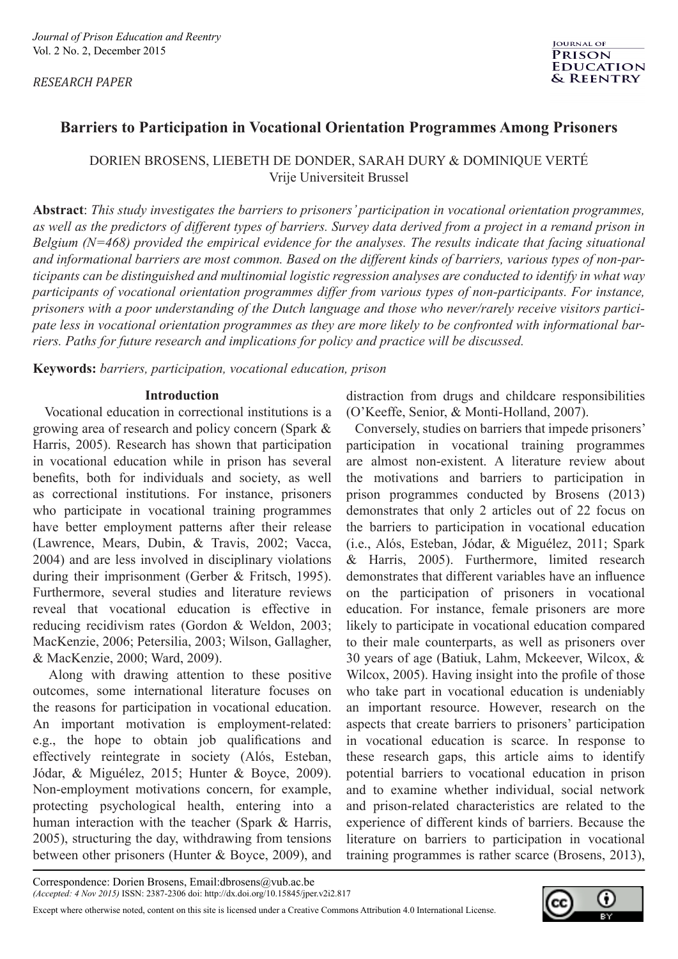*RESEARCH PAPER* 

# **Barriers to Participation in Vocational Orientation Programmes Among Prisoners**

DORIEN BROSENS, LIEBETH DE DONDER, SARAH DURY & DOMINIQUE VERTÉ Vrije Universiteit Brussel

**Abstract**: *This study investigates the barriers to prisoners' participation in vocational orientation programmes, as well as the predictors of different types of barriers. Survey data derived from a project in a remand prison in Belgium (N=468) provided the empirical evidence for the analyses. The results indicate that facing situational and informational barriers are most common. Based on the different kinds of barriers, various types of non-participants can be distinguished and multinomial logistic regression analyses are conducted to identify in what way participants of vocational orientation programmes differ from various types of non-participants. For instance, prisoners with a poor understanding of the Dutch language and those who never/rarely receive visitors participate less in vocational orientation programmes as they are more likely to be confronted with informational barriers. Paths for future research and implications for policy and practice will be discussed.* 

**Keywords:** *barriers, participation, vocational education, prison*

## **Introduction**

 Vocational education in correctional institutions is a growing area of research and policy concern (Spark & Harris, 2005). Research has shown that participation in vocational education while in prison has several benefits, both for individuals and society, as well as correctional institutions. For instance, prisoners who participate in vocational training programmes have better employment patterns after their release (Lawrence, Mears, Dubin, & Travis, 2002; Vacca, 2004) and are less involved in disciplinary violations during their imprisonment (Gerber & Fritsch, 1995). Furthermore, several studies and literature reviews reveal that vocational education is effective in reducing recidivism rates (Gordon & Weldon, 2003; MacKenzie, 2006; Petersilia, 2003; Wilson, Gallagher, & MacKenzie, 2000; Ward, 2009).

 Along with drawing attention to these positive outcomes, some international literature focuses on the reasons for participation in vocational education. An important motivation is employment-related: e.g., the hope to obtain job qualifications and effectively reintegrate in society (Alós, Esteban, Jódar, & Miguélez, 2015; Hunter & Boyce, 2009). Non-employment motivations concern, for example, protecting psychological health, entering into a human interaction with the teacher (Spark & Harris, 2005), structuring the day, withdrawing from tensions between other prisoners (Hunter & Boyce, 2009), and distraction from drugs and childcare responsibilities (O'Keeffe, Senior, & Monti-Holland, 2007).

 Conversely, studies on barriers that impede prisoners' participation in vocational training programmes are almost non-existent. A literature review about the motivations and barriers to participation in prison programmes conducted by Brosens (2013) demonstrates that only 2 articles out of 22 focus on the barriers to participation in vocational education (i.e., Alós, Esteban, Jódar, & Miguélez, 2011; Spark & Harris, 2005). Furthermore, limited research demonstrates that different variables have an influence on the participation of prisoners in vocational education. For instance, female prisoners are more likely to participate in vocational education compared to their male counterparts, as well as prisoners over 30 years of age (Batiuk, Lahm, Mckeever, Wilcox, & Wilcox, 2005). Having insight into the profile of those who take part in vocational education is undeniably an important resource. However, research on the aspects that create barriers to prisoners' participation in vocational education is scarce. In response to these research gaps, this article aims to identify potential barriers to vocational education in prison and to examine whether individual, social network and prison-related characteristics are related to the experience of different kinds of barriers. Because the literature on barriers to participation in vocational training programmes is rather scarce (Brosens, 2013),

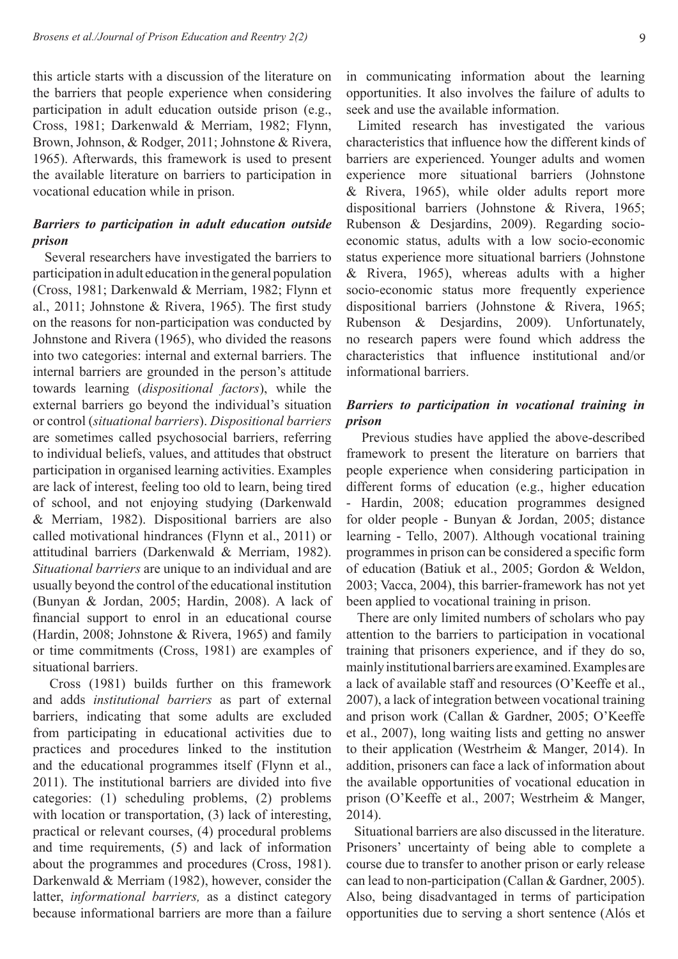this article starts with a discussion of the literature on the barriers that people experience when considering participation in adult education outside prison (e.g., Cross, 1981; Darkenwald & Merriam, 1982; Flynn, Brown, Johnson, & Rodger, 2011; Johnstone & Rivera, 1965). Afterwards, this framework is used to present the available literature on barriers to participation in vocational education while in prison.

# *Barriers to participation in adult education outside prison*

 Several researchers have investigated the barriers to participation in adult education in the general population (Cross, 1981; Darkenwald & Merriam, 1982; Flynn et al., 2011; Johnstone & Rivera, 1965). The first study on the reasons for non-participation was conducted by Johnstone and Rivera (1965), who divided the reasons into two categories: internal and external barriers. The internal barriers are grounded in the person's attitude towards learning (*dispositional factors*), while the external barriers go beyond the individual's situation or control (*situational barriers*). *Dispositional barriers* are sometimes called psychosocial barriers, referring to individual beliefs, values, and attitudes that obstruct participation in organised learning activities. Examples are lack of interest, feeling too old to learn, being tired of school, and not enjoying studying (Darkenwald & Merriam, 1982). Dispositional barriers are also called motivational hindrances (Flynn et al., 2011) or attitudinal barriers (Darkenwald & Merriam, 1982). *Situational barriers* are unique to an individual and are usually beyond the control of the educational institution (Bunyan & Jordan, 2005; Hardin, 2008). A lack of financial support to enrol in an educational course (Hardin, 2008; Johnstone & Rivera, 1965) and family or time commitments (Cross, 1981) are examples of situational barriers.

 Cross (1981) builds further on this framework and adds *institutional barriers* as part of external barriers, indicating that some adults are excluded from participating in educational activities due to practices and procedures linked to the institution and the educational programmes itself (Flynn et al., 2011). The institutional barriers are divided into five categories: (1) scheduling problems, (2) problems with location or transportation, (3) lack of interesting, practical or relevant courses, (4) procedural problems and time requirements, (5) and lack of information about the programmes and procedures (Cross, 1981). Darkenwald & Merriam (1982), however, consider the latter, *informational barriers,* as a distinct category because informational barriers are more than a failure

in communicating information about the learning opportunities. It also involves the failure of adults to seek and use the available information.

 Limited research has investigated the various characteristics that influence how the different kinds of barriers are experienced. Younger adults and women experience more situational barriers (Johnstone & Rivera, 1965), while older adults report more dispositional barriers (Johnstone & Rivera, 1965; Rubenson & Desjardins, 2009). Regarding socioeconomic status, adults with a low socio-economic status experience more situational barriers (Johnstone & Rivera, 1965), whereas adults with a higher socio-economic status more frequently experience dispositional barriers (Johnstone & Rivera, 1965; Rubenson & Desjardins, 2009). Unfortunately, no research papers were found which address the characteristics that influence institutional and/or informational barriers.

# *Barriers to participation in vocational training in prison*

 Previous studies have applied the above-described framework to present the literature on barriers that people experience when considering participation in different forms of education (e.g., higher education - Hardin, 2008; education programmes designed for older people - Bunyan & Jordan, 2005; distance learning - Tello, 2007). Although vocational training programmes in prison can be considered a specific form of education (Batiuk et al., 2005; Gordon & Weldon, 2003; Vacca, 2004), this barrier-framework has not yet been applied to vocational training in prison.

 There are only limited numbers of scholars who pay attention to the barriers to participation in vocational training that prisoners experience, and if they do so, mainly institutional barriers are examined. Examples are a lack of available staff and resources (O'Keeffe et al., 2007), a lack of integration between vocational training and prison work (Callan & Gardner, 2005; O'Keeffe et al., 2007), long waiting lists and getting no answer to their application (Westrheim & Manger, 2014). In addition, prisoners can face a lack of information about the available opportunities of vocational education in prison (O'Keeffe et al., 2007; Westrheim & Manger, 2014).

 Situational barriers are also discussed in the literature. Prisoners' uncertainty of being able to complete a course due to transfer to another prison or early release can lead to non-participation (Callan & Gardner, 2005). Also, being disadvantaged in terms of participation opportunities due to serving a short sentence (Alós et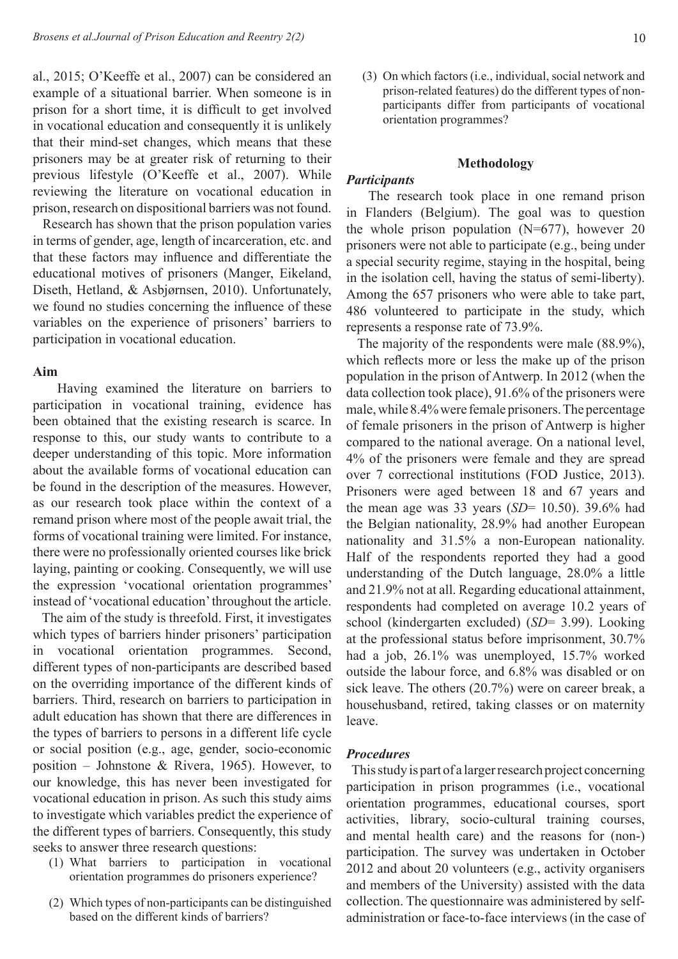al., 2015; O'Keeffe et al., 2007) can be considered an example of a situational barrier. When someone is in prison for a short time, it is difficult to get involved in vocational education and consequently it is unlikely that their mind-set changes, which means that these prisoners may be at greater risk of returning to their previous lifestyle (O'Keeffe et al., 2007). While reviewing the literature on vocational education in prison, research on dispositional barriers was not found.

 Research has shown that the prison population varies in terms of gender, age, length of incarceration, etc. and that these factors may influence and differentiate the educational motives of prisoners (Manger, Eikeland, Diseth, Hetland, & Asbjørnsen, 2010). Unfortunately, we found no studies concerning the influence of these variables on the experience of prisoners' barriers to participation in vocational education.

## **Aim**

Having examined the literature on barriers to participation in vocational training, evidence has been obtained that the existing research is scarce. In response to this, our study wants to contribute to a deeper understanding of this topic. More information about the available forms of vocational education can be found in the description of the measures. However, as our research took place within the context of a remand prison where most of the people await trial, the forms of vocational training were limited. For instance, there were no professionally oriented courses like brick laying, painting or cooking. Consequently, we will use the expression 'vocational orientation programmes' instead of 'vocational education' throughout the article.

The aim of the study is threefold. First, it investigates which types of barriers hinder prisoners' participation in vocational orientation programmes. Second, different types of non-participants are described based on the overriding importance of the different kinds of barriers. Third, research on barriers to participation in adult education has shown that there are differences in the types of barriers to persons in a different life cycle or social position (e.g., age, gender, socio-economic position – Johnstone & Rivera, 1965). However, to our knowledge, this has never been investigated for vocational education in prison. As such this study aims to investigate which variables predict the experience of the different types of barriers. Consequently, this study seeks to answer three research questions:

- (1) What barriers to participation in vocational orientation programmes do prisoners experience?
- (2) Which types of non-participants can be distinguished based on the different kinds of barriers?

(3) On which factors (i.e., individual, social network and prison-related features) do the different types of nonparticipants differ from participants of vocational orientation programmes?

## **Methodology**

## *Participants*

The research took place in one remand prison in Flanders (Belgium). The goal was to question the whole prison population  $(N=677)$ , however 20 prisoners were not able to participate (e.g., being under a special security regime, staying in the hospital, being in the isolation cell, having the status of semi-liberty). Among the 657 prisoners who were able to take part, 486 volunteered to participate in the study, which represents a response rate of 73.9%.

The majority of the respondents were male (88.9%), which reflects more or less the make up of the prison population in the prison of Antwerp. In 2012 (when the data collection took place), 91.6% of the prisoners were male, while 8.4% were female prisoners. The percentage of female prisoners in the prison of Antwerp is higher compared to the national average. On a national level, 4% of the prisoners were female and they are spread over 7 correctional institutions (FOD Justice, 2013). Prisoners were aged between 18 and 67 years and the mean age was 33 years (*SD*= 10.50). 39.6% had the Belgian nationality, 28.9% had another European nationality and 31.5% a non-European nationality. Half of the respondents reported they had a good understanding of the Dutch language, 28.0% a little and 21.9% not at all. Regarding educational attainment, respondents had completed on average 10.2 years of school (kindergarten excluded) (*SD*= 3.99). Looking at the professional status before imprisonment, 30.7% had a job, 26.1% was unemployed, 15.7% worked outside the labour force, and 6.8% was disabled or on sick leave. The others (20.7%) were on career break, a househusband, retired, taking classes or on maternity leave.

### *Procedures*

This study is part of a larger research project concerning participation in prison programmes (i.e., vocational orientation programmes, educational courses, sport activities, library, socio-cultural training courses, and mental health care) and the reasons for (non-) participation. The survey was undertaken in October 2012 and about 20 volunteers (e.g., activity organisers and members of the University) assisted with the data collection. The questionnaire was administered by selfadministration or face-to-face interviews (in the case of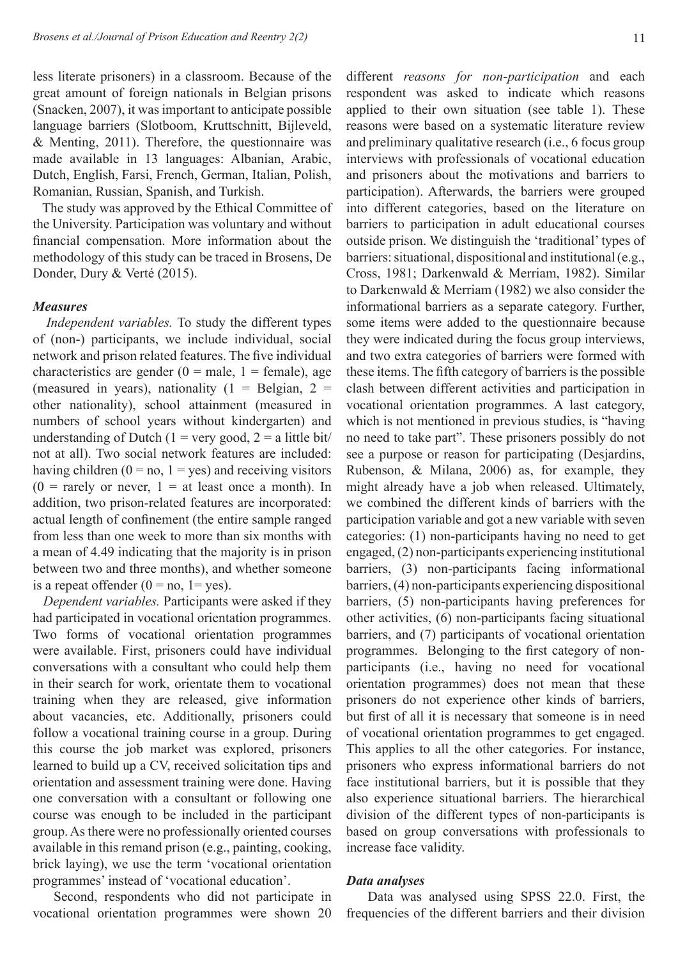less literate prisoners) in a classroom. Because of the great amount of foreign nationals in Belgian prisons (Snacken, 2007), it was important to anticipate possible language barriers (Slotboom, Kruttschnitt, Bijleveld, & Menting, 2011). Therefore, the questionnaire was made available in 13 languages: Albanian, Arabic, Dutch, English, Farsi, French, German, Italian, Polish, Romanian, Russian, Spanish, and Turkish.

The study was approved by the Ethical Committee of the University. Participation was voluntary and without financial compensation. More information about the methodology of this study can be traced in Brosens, De Donder, Dury & Verté (2015).

### *Measures*

 *Independent variables.* To study the different types of (non-) participants, we include individual, social network and prison related features. The five individual characteristics are gender  $(0 = male, 1 = female)$ , age (measured in years), nationality  $(1 = Belgian, 2 =$ other nationality), school attainment (measured in numbers of school years without kindergarten) and understanding of Dutch (1 = very good, 2 = a little bit/ not at all). Two social network features are included: having children  $(0 = no, 1 = yes)$  and receiving visitors  $(0 = \text{rarely or never}, 1 = \text{at least once a month}).$  In addition, two prison-related features are incorporated: actual length of confinement (the entire sample ranged from less than one week to more than six months with a mean of 4.49 indicating that the majority is in prison between two and three months), and whether someone is a repeat offender  $(0 = no, 1 = yes)$ .

 *Dependent variables.* Participants were asked if they had participated in vocational orientation programmes. Two forms of vocational orientation programmes were available. First, prisoners could have individual conversations with a consultant who could help them in their search for work, orientate them to vocational training when they are released, give information about vacancies, etc. Additionally, prisoners could follow a vocational training course in a group. During this course the job market was explored, prisoners learned to build up a CV, received solicitation tips and orientation and assessment training were done. Having one conversation with a consultant or following one course was enough to be included in the participant group. As there were no professionally oriented courses available in this remand prison (e.g., painting, cooking, brick laying), we use the term 'vocational orientation programmes' instead of 'vocational education'.

Second, respondents who did not participate in vocational orientation programmes were shown 20

different *reasons for non-participation* and each respondent was asked to indicate which reasons applied to their own situation (see table 1). These reasons were based on a systematic literature review and preliminary qualitative research (i.e., 6 focus group interviews with professionals of vocational education and prisoners about the motivations and barriers to participation). Afterwards, the barriers were grouped into different categories, based on the literature on barriers to participation in adult educational courses outside prison. We distinguish the 'traditional' types of barriers: situational, dispositional and institutional (e.g., Cross, 1981; Darkenwald & Merriam, 1982). Similar to Darkenwald & Merriam (1982) we also consider the informational barriers as a separate category. Further, some items were added to the questionnaire because they were indicated during the focus group interviews, and two extra categories of barriers were formed with these items. The fifth category of barriers is the possible clash between different activities and participation in vocational orientation programmes. A last category, which is not mentioned in previous studies, is "having no need to take part". These prisoners possibly do not see a purpose or reason for participating (Desjardins, Rubenson, & Milana, 2006) as, for example, they might already have a job when released. Ultimately, we combined the different kinds of barriers with the participation variable and got a new variable with seven categories: (1) non-participants having no need to get engaged, (2) non-participants experiencing institutional barriers, (3) non-participants facing informational barriers, (4) non-participants experiencing dispositional barriers, (5) non-participants having preferences for other activities, (6) non-participants facing situational barriers, and (7) participants of vocational orientation programmes. Belonging to the first category of nonparticipants (i.e., having no need for vocational orientation programmes) does not mean that these prisoners do not experience other kinds of barriers, but first of all it is necessary that someone is in need of vocational orientation programmes to get engaged. This applies to all the other categories. For instance, prisoners who express informational barriers do not face institutional barriers, but it is possible that they also experience situational barriers. The hierarchical division of the different types of non-participants is based on group conversations with professionals to increase face validity.

## *Data analyses*

Data was analysed using SPSS 22.0. First, the frequencies of the different barriers and their division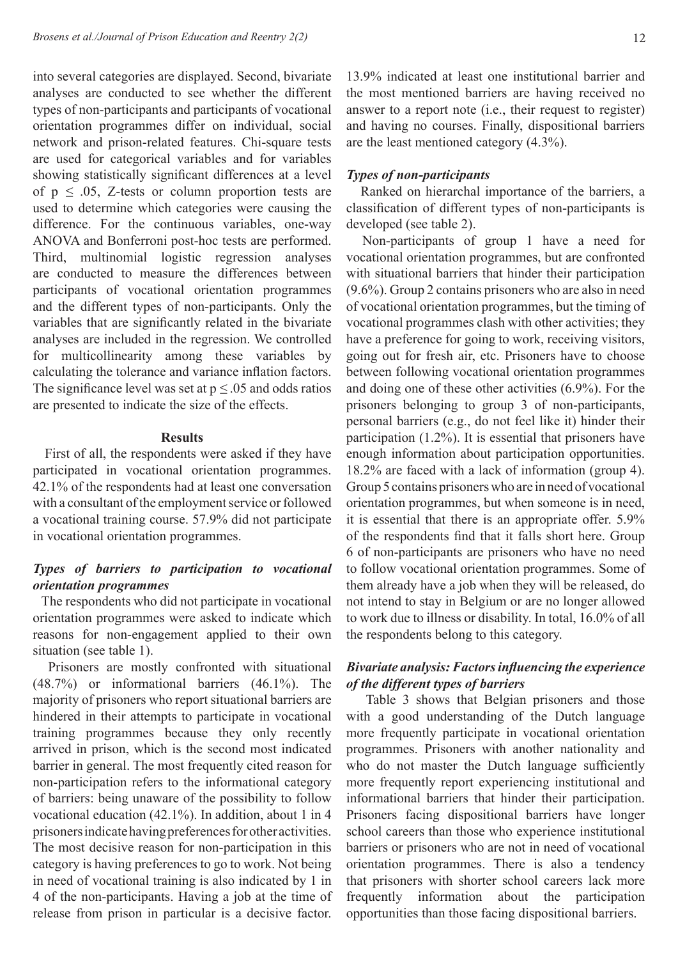into several categories are displayed. Second, bivariate analyses are conducted to see whether the different types of non-participants and participants of vocational orientation programmes differ on individual, social network and prison-related features. Chi-square tests are used for categorical variables and for variables showing statistically significant differences at a level of  $p \leq .05$ , Z-tests or column proportion tests are used to determine which categories were causing the difference. For the continuous variables, one-way ANOVA and Bonferroni post-hoc tests are performed. Third, multinomial logistic regression analyses are conducted to measure the differences between participants of vocational orientation programmes and the different types of non-participants. Only the variables that are significantly related in the bivariate analyses are included in the regression. We controlled for multicollinearity among these variables by calculating the tolerance and variance inflation factors. The significance level was set at  $p \leq 0.05$  and odds ratios are presented to indicate the size of the effects.

#### **Results**

First of all, the respondents were asked if they have participated in vocational orientation programmes. 42.1% of the respondents had at least one conversation with a consultant of the employment service or followed a vocational training course. 57.9% did not participate in vocational orientation programmes.

# *Types of barriers to participation to vocational orientation programmes*

The respondents who did not participate in vocational orientation programmes were asked to indicate which reasons for non-engagement applied to their own situation (see table 1).

 Prisoners are mostly confronted with situational (48.7%) or informational barriers (46.1%). The majority of prisoners who report situational barriers are hindered in their attempts to participate in vocational training programmes because they only recently arrived in prison, which is the second most indicated barrier in general. The most frequently cited reason for non-participation refers to the informational category of barriers: being unaware of the possibility to follow vocational education (42.1%). In addition, about 1 in 4 prisoners indicate having preferences for other activities. The most decisive reason for non-participation in this category is having preferences to go to work. Not being in need of vocational training is also indicated by 1 in 4 of the non-participants. Having a job at the time of release from prison in particular is a decisive factor.

13.9% indicated at least one institutional barrier and the most mentioned barriers are having received no answer to a report note (i.e., their request to register) and having no courses. Finally, dispositional barriers are the least mentioned category (4.3%).

### *Types of non-participants*

Ranked on hierarchal importance of the barriers, a classification of different types of non-participants is developed (see table 2).

Non-participants of group 1 have a need for vocational orientation programmes, but are confronted with situational barriers that hinder their participation (9.6%). Group 2 contains prisoners who are also in need of vocational orientation programmes, but the timing of vocational programmes clash with other activities; they have a preference for going to work, receiving visitors, going out for fresh air, etc. Prisoners have to choose between following vocational orientation programmes and doing one of these other activities (6.9%). For the prisoners belonging to group 3 of non-participants, personal barriers (e.g., do not feel like it) hinder their participation (1.2%). It is essential that prisoners have enough information about participation opportunities. 18.2% are faced with a lack of information (group 4). Group 5 contains prisoners who are in need of vocational orientation programmes, but when someone is in need, it is essential that there is an appropriate offer. 5.9% of the respondents find that it falls short here. Group 6 of non-participants are prisoners who have no need to follow vocational orientation programmes. Some of them already have a job when they will be released, do not intend to stay in Belgium or are no longer allowed to work due to illness or disability. In total, 16.0% of all the respondents belong to this category.

# *Bivariate analysis: Factors influencing the experience of the different types of barriers*

 Table 3 shows that Belgian prisoners and those with a good understanding of the Dutch language more frequently participate in vocational orientation programmes. Prisoners with another nationality and who do not master the Dutch language sufficiently more frequently report experiencing institutional and informational barriers that hinder their participation. Prisoners facing dispositional barriers have longer school careers than those who experience institutional barriers or prisoners who are not in need of vocational orientation programmes. There is also a tendency that prisoners with shorter school careers lack more frequently information about the participation opportunities than those facing dispositional barriers.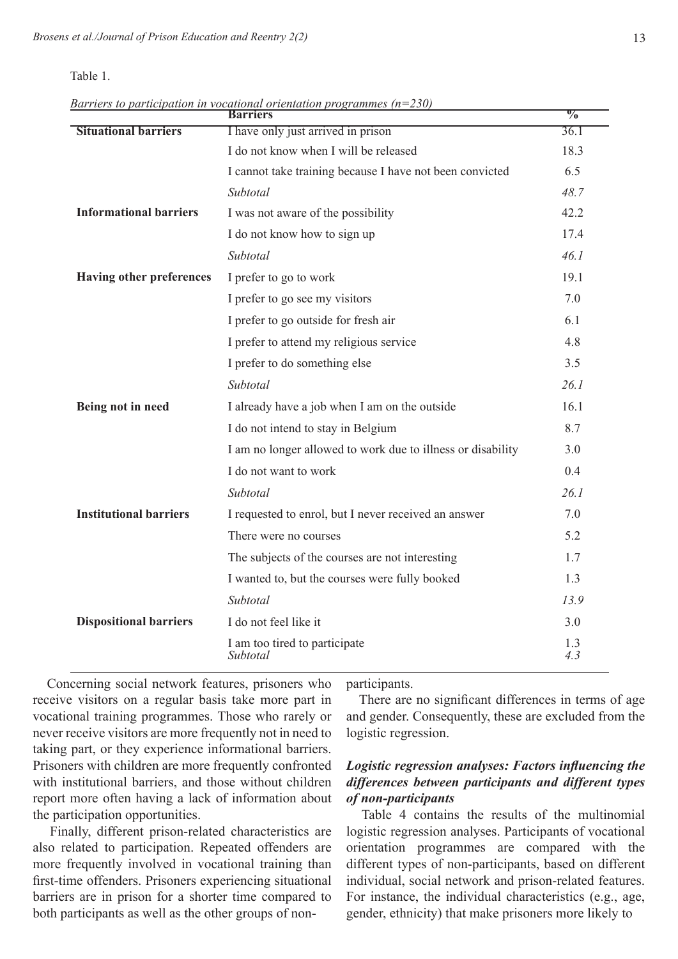| anje |
|------|
|------|

**Barriers % Situational barriers** I have only just arrived in prison 36.1 I do not know when I will be released 18.3 I cannot take training because I have not been convicted 6.5 *Subtotal 48.7* **Informational barriers** I was not aware of the possibility 42.2 I do not know how to sign up 17.4 *Subtotal 46.1* **Having other preferences** I prefer to go to work 19.1 I prefer to go see my visitors  $7.0$ I prefer to go outside for fresh air 6.1 I prefer to attend my religious service 4.8 I prefer to do something else 3.5 *Subtotal 26.1* **Being not in need** I already have a job when I am on the outside 16.1 I do not intend to stay in Belgium 8.7 I am no longer allowed to work due to illness or disability 3.0 I do not want to work 0.4 *Subtotal 26.1* **Institutional barriers** I requested to enrol, but I never received an answer 7.0 There were no courses 5.2 The subjects of the courses are not interesting 1.7 I wanted to, but the courses were fully booked 1.3 *Subtotal 13.9* **Dispositional barriers** I do not feel like it 3.0 I am too tired to participate 1.3<br>Subtotal 4.3 *Subtotal 4.3*

| Barriers to participation in vocational orientation programmes ( $n=230$ ) |  |  |  |
|----------------------------------------------------------------------------|--|--|--|
|                                                                            |  |  |  |

 Concerning social network features, prisoners who receive visitors on a regular basis take more part in vocational training programmes. Those who rarely or never receive visitors are more frequently not in need to taking part, or they experience informational barriers. Prisoners with children are more frequently confronted with institutional barriers, and those without children report more often having a lack of information about the participation opportunities.

 Finally, different prison-related characteristics are also related to participation. Repeated offenders are more frequently involved in vocational training than first-time offenders. Prisoners experiencing situational barriers are in prison for a shorter time compared to both participants as well as the other groups of nonparticipants.

There are no significant differences in terms of age and gender. Consequently, these are excluded from the logistic regression.

# *Logistic regression analyses: Factors influencing the differences between participants and different types of non-participants*

Table 4 contains the results of the multinomial logistic regression analyses. Participants of vocational orientation programmes are compared with the different types of non-participants, based on different individual, social network and prison-related features. For instance, the individual characteristics (e.g., age, gender, ethnicity) that make prisoners more likely to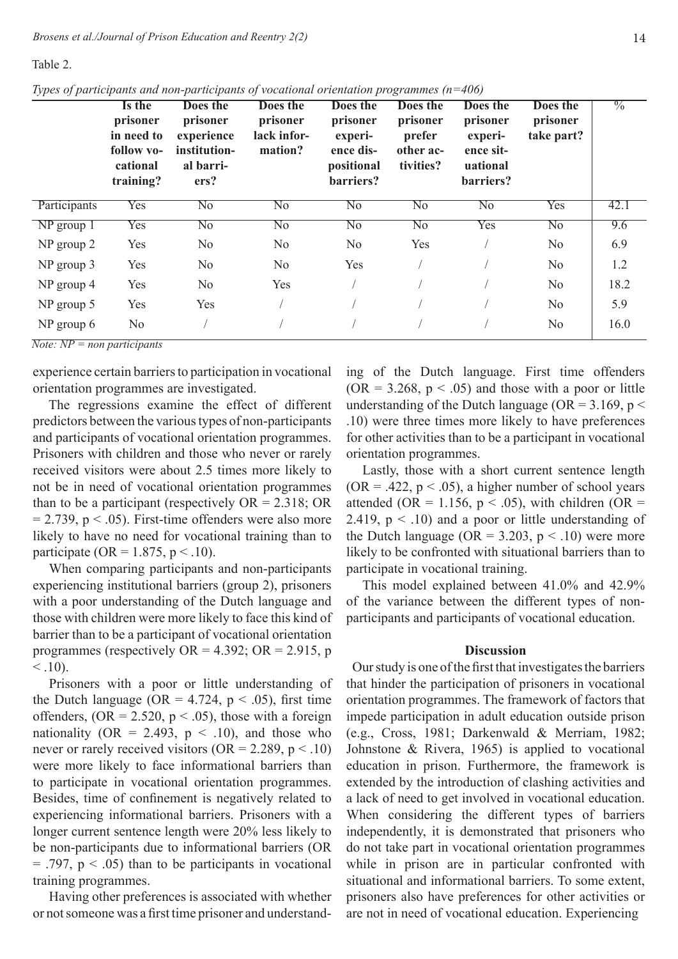Table 2.

*Types of participants and non-participants of vocational orientation programmes (n=406)* 

|              | Is the<br>prisoner<br>in need to<br>follow vo-<br>cational<br>training? | Does the<br>prisoner<br>experience<br>institution-<br>al barri-<br>ers? | <b>Does the</b><br>prisoner<br>lack infor-<br>mation? | Does the<br>prisoner<br>experi-<br>ence dis-<br>positional<br>barriers? | Does the<br>prisoner<br>prefer<br>other ac-<br>tivities? | Does the<br>prisoner<br>experi-<br>ence sit-<br>uational<br>barriers? | Does the<br>prisoner<br>take part? | $\frac{0}{0}$ |
|--------------|-------------------------------------------------------------------------|-------------------------------------------------------------------------|-------------------------------------------------------|-------------------------------------------------------------------------|----------------------------------------------------------|-----------------------------------------------------------------------|------------------------------------|---------------|
| Participants | Yes                                                                     | No                                                                      | $\overline{\text{No}}$                                | No                                                                      | $\overline{No}$                                          | $\overline{\text{No}}$                                                | <b>Yes</b>                         | 42.1          |
| $NP$ group 1 | Yes                                                                     | $\overline{No}$                                                         | $\overline{No}$                                       | $\overline{No}$                                                         | $\overline{No}$                                          | Yes                                                                   | $\overline{No}$                    | 9.6           |
| NP group 2   | Yes                                                                     | N <sub>o</sub>                                                          | N <sub>o</sub>                                        | N <sub>o</sub>                                                          | Yes                                                      |                                                                       | N <sub>o</sub>                     | 6.9           |
| NP group 3   | Yes                                                                     | N <sub>0</sub>                                                          | N <sub>o</sub>                                        | Yes                                                                     |                                                          |                                                                       | N <sub>o</sub>                     | 1.2           |
| NP group 4   | Yes                                                                     | N <sub>o</sub>                                                          | Yes                                                   |                                                                         |                                                          |                                                                       | No                                 | 18.2          |
| $NP$ group 5 | Yes                                                                     | Yes                                                                     |                                                       |                                                                         |                                                          |                                                                       | N <sub>o</sub>                     | 5.9           |
| NP group 6   | N <sub>0</sub>                                                          |                                                                         |                                                       |                                                                         |                                                          |                                                                       | N <sub>o</sub>                     | 16.0          |

*Note: NP = non participants* 

experience certain barriers to participation in vocational orientation programmes are investigated.

 The regressions examine the effect of different predictors between the various types of non-participants and participants of vocational orientation programmes. Prisoners with children and those who never or rarely received visitors were about 2.5 times more likely to not be in need of vocational orientation programmes than to be a participant (respectively  $OR = 2.318$ ; OR  $= 2.739$ ,  $p < .05$ ). First-time offenders were also more likely to have no need for vocational training than to participate (OR = 1.875,  $p < .10$ ).

When comparing participants and non-participants experiencing institutional barriers (group 2), prisoners with a poor understanding of the Dutch language and those with children were more likely to face this kind of barrier than to be a participant of vocational orientation programmes (respectively  $OR = 4.392$ ;  $OR = 2.915$ , p  $< 0.10$ .

Prisoners with a poor or little understanding of the Dutch language (OR = 4.724,  $p < .05$ ), first time offenders,  $(OR = 2.520, p < .05)$ , those with a foreign nationality (OR = 2.493,  $p \lt 0.10$ ), and those who never or rarely received visitors ( $OR = 2.289$ ,  $p < .10$ ) were more likely to face informational barriers than to participate in vocational orientation programmes. Besides, time of confinement is negatively related to experiencing informational barriers. Prisoners with a longer current sentence length were 20% less likely to be non-participants due to informational barriers (OR  $=$  .797,  $p < .05$ ) than to be participants in vocational training programmes.

Having other preferences is associated with whether or not someone was a first time prisoner and understanding of the Dutch language. First time offenders  $(OR = 3.268, p < .05)$  and those with a poor or little understanding of the Dutch language ( $OR = 3.169$ ,  $p <$ .10) were three times more likely to have preferences for other activities than to be a participant in vocational orientation programmes.

Lastly, those with a short current sentence length  $(OR = .422, p < .05)$ , a higher number of school years attended (OR = 1.156,  $p < .05$ ), with children (OR = 2.419,  $p < .10$ ) and a poor or little understanding of the Dutch language ( $OR = 3.203$ ,  $p < .10$ ) were more likely to be confronted with situational barriers than to participate in vocational training.

This model explained between 41.0% and 42.9% of the variance between the different types of nonparticipants and participants of vocational education.

### **Discussion**

Our study is one of the first that investigates the barriers that hinder the participation of prisoners in vocational orientation programmes. The framework of factors that impede participation in adult education outside prison (e.g., Cross, 1981; Darkenwald & Merriam, 1982; Johnstone & Rivera, 1965) is applied to vocational education in prison. Furthermore, the framework is extended by the introduction of clashing activities and a lack of need to get involved in vocational education. When considering the different types of barriers independently, it is demonstrated that prisoners who do not take part in vocational orientation programmes while in prison are in particular confronted with situational and informational barriers. To some extent, prisoners also have preferences for other activities or are not in need of vocational education. Experiencing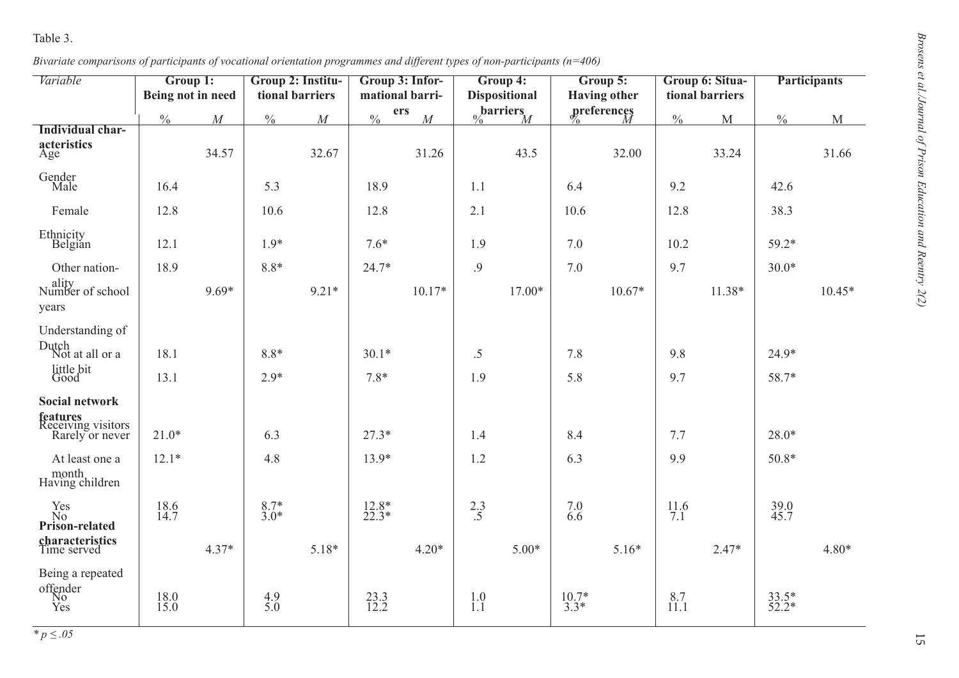| Variable                                                 | Group 1:<br>Being not in need |          | Group 2: Institu-<br>tional barriers |          | Group 3: Infor-<br>mational barri- |          | Group 4:<br><b>Dispositional</b> |                   | Group 5:<br><b>Having other</b> |             | Group 6: Situa-<br>tional barriers |              | <b>Participants</b> |          |
|----------------------------------------------------------|-------------------------------|----------|--------------------------------------|----------|------------------------------------|----------|----------------------------------|-------------------|---------------------------------|-------------|------------------------------------|--------------|---------------------|----------|
|                                                          | $\frac{0}{0}$                 | $\cal M$ | $\frac{0}{0}$                        | $\cal M$ | ers<br>$\frac{0}{0}$               | $\cal M$ |                                  | $\int_0$ barriers |                                 | greferences | $\frac{0}{0}$                      | $\mathbf{M}$ | $\frac{0}{0}$       | M        |
| Individual char-<br>acteristics<br>Age                   |                               | 34.57    |                                      | 32.67    |                                    | 31.26    |                                  | 43.5              |                                 | 32.00       |                                    | 33.24        |                     | 31.66    |
| Gender<br>Male                                           | 16.4                          |          | 5.3                                  |          | 18.9                               |          | 1.1                              |                   | 6.4                             |             | 9.2                                |              | 42.6                |          |
| Female                                                   | 12.8                          |          | 10.6                                 |          | 12.8                               |          | 2.1                              |                   | 10.6                            |             | 12.8                               |              | 38.3                |          |
| Ethnicity<br>Belgian                                     | 12.1                          |          | $1.9*$                               |          | $7.6*$                             |          | 1.9                              |                   | 7.0                             |             | 10.2                               |              | $59.2*$             |          |
| Other nation-                                            | 18.9                          |          | $8.8*$                               |          | 24.7*                              |          | .9                               |                   | 7.0                             |             | 9.7                                |              | $30.0*$             |          |
| ality<br>Number of school<br>years                       |                               | $9.69*$  |                                      | $9.21*$  |                                    | $10.17*$ |                                  | $17.00*$          |                                 | $10.67*$    |                                    | 11.38*       |                     | $10.45*$ |
| Understanding of<br>Dutch                                |                               |          |                                      |          |                                    |          |                                  |                   |                                 |             |                                    |              |                     |          |
| Not at all or a<br>little bit<br>Good                    | 18.1<br>13.1                  |          | $8.8*$<br>$2.9*$                     |          | $30.1*$<br>$7.8*$                  |          | $.5\,$<br>1.9                    |                   | 7.8<br>5.8                      |             | 9.8<br>9.7                         |              | $24.9*$<br>58.7*    |          |
| Social network                                           |                               |          |                                      |          |                                    |          |                                  |                   |                                 |             |                                    |              |                     |          |
| <b>features</b><br>Receiving visitors<br>Rarely or never | $21.0*$                       |          | 6.3                                  |          | $27.3*$                            |          | 1.4                              |                   | 8.4                             |             | 7.7                                |              | $28.0*$             |          |
| At least one a<br>month<br>Having children               | $12.1*$                       |          | 4.8                                  |          | 13.9*                              |          | 1.2                              |                   | 6.3                             |             | 9.9                                |              | $50.8*$             |          |
| Yes<br>No<br>Prison-related                              | $\frac{18.6}{14.7}$           |          | $8.7*$<br>3.0*                       |          | $^{12.8*}_{22.3*}$                 |          | $^{2.3}_{.5}$                    |                   | 7.066                           |             | $^{11.6}_{7.1}$                    |              | $39.0$<br>45.7      |          |
| characteristics<br>Time served                           |                               | $4.37*$  |                                      | 5.18*    |                                    | $4.20*$  |                                  | $5.00*$           |                                 | $5.16*$     |                                    | $2.47*$      |                     | $4.80*$  |
| Being a repeated<br>offender<br>No<br>Yes                | $18.0$<br>15.0                |          | $\frac{4.9}{5.0}$                    |          | $^{23.3}_{12.2}$                   |          | $1.0$<br>$1.1$                   |                   | $^{10.7*}_{3.3*}$               |             | $8.7$<br>11.1                      |              | $33.5*$<br>52.2*    |          |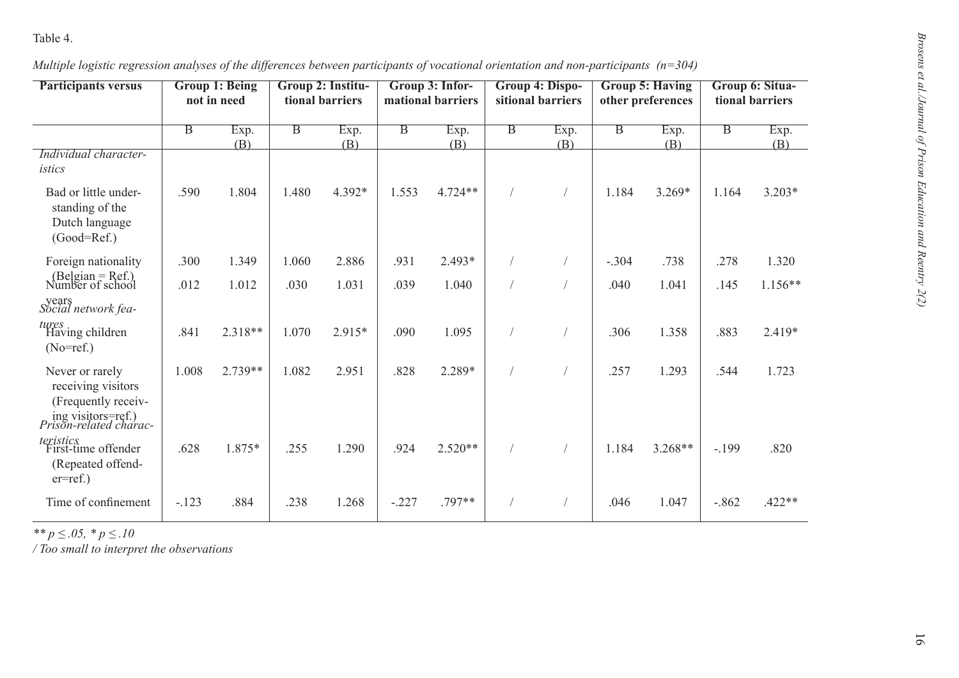| <b>Participants versus</b>                                                                                          |                         | <b>Group 1: Being</b><br>not in need | Group 2: Institu-<br>tional barriers |        | Group 3: Infor-<br>mational barriers |           | Group 4: Dispo-<br>sitional barriers |      | <b>Group 5: Having</b><br>other preferences |          | Group 6: Situa-<br>tional barriers |           |
|---------------------------------------------------------------------------------------------------------------------|-------------------------|--------------------------------------|--------------------------------------|--------|--------------------------------------|-----------|--------------------------------------|------|---------------------------------------------|----------|------------------------------------|-----------|
|                                                                                                                     | $\overline{\mathbf{B}}$ | Exp.                                 | $\overline{B}$                       | Exp.   | $\overline{\mathbf{B}}$              | Exp.      | $\overline{B}$                       | Exp. | $\overline{B}$                              | Exp.     | $\overline{B}$                     | Exp.      |
| Individual character-<br>istics                                                                                     |                         | (B)                                  |                                      | (B)    |                                      | (B)       |                                      | (B)  |                                             | (B)      |                                    | (B)       |
| Bad or little under-<br>standing of the<br>Dutch language<br>$(Good=Ref.)$                                          | .590                    | 1.804                                | 1.480                                | 4.392* | 1.553                                | $4.724**$ |                                      |      | 1.184                                       | $3.269*$ | 1.164                              | $3.203*$  |
| Foreign nationality                                                                                                 | .300                    | 1.349                                | 1.060                                | 2.886  | .931                                 | 2.493*    |                                      |      | $-.304$                                     | .738     | .278                               | 1.320     |
| $(Belgian = Ref.)$<br>Number of school                                                                              | .012                    | 1.012                                | .030                                 | 1.031  | .039                                 | 1.040     |                                      |      | .040                                        | 1.041    | .145                               | $1.156**$ |
| years<br>Social network fea-                                                                                        |                         |                                      |                                      |        |                                      |           |                                      |      |                                             |          |                                    |           |
| tures<br>Having children<br>$(No=ref.)$                                                                             | .841                    | 2.318**                              | 1.070                                | 2.915* | .090                                 | 1.095     |                                      |      | .306                                        | 1.358    | .883                               | 2.419*    |
| Never or rarely<br>receiving visitors<br>(Frequently receiv-<br>ing visitors=ref.)<br><i>Prison-related charac-</i> | 1.008                   | 2.739**                              | 1.082                                | 2.951  | .828                                 | 2.289*    |                                      |      | .257                                        | 1.293    | .544                               | 1.723     |
| <i>teristics</i><br>First-time offender<br>(Repeated offend-<br>$er=ref.$ )                                         | .628                    | 1.875*                               | .255                                 | 1.290  | .924                                 | $2.520**$ |                                      |      | 1.184                                       | 3.268**  | $-.199$                            | .820      |
| Time of confinement                                                                                                 | $-.123$                 | .884                                 | .238                                 | 1.268  | $-.227$                              | .797**    |                                      |      | .046                                        | 1.047    | $-.862$                            | $.422**$  |
| ** $p \leq .05$ , * $p \leq .10$<br>/ Too small to interpret the observations                                       |                         |                                      |                                      |        |                                      |           |                                      |      |                                             |          |                                    |           |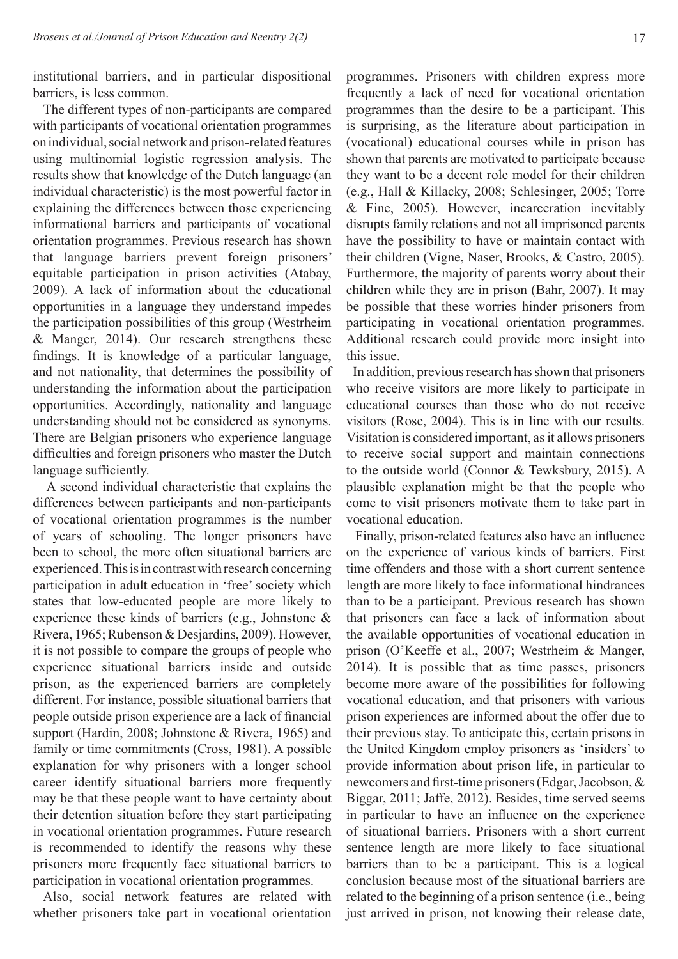institutional barriers, and in particular dispositional barriers, is less common.

The different types of non-participants are compared with participants of vocational orientation programmes on individual, social network and prison-related features using multinomial logistic regression analysis. The results show that knowledge of the Dutch language (an individual characteristic) is the most powerful factor in explaining the differences between those experiencing informational barriers and participants of vocational orientation programmes. Previous research has shown that language barriers prevent foreign prisoners' equitable participation in prison activities (Atabay, 2009). A lack of information about the educational opportunities in a language they understand impedes the participation possibilities of this group (Westrheim & Manger, 2014). Our research strengthens these findings. It is knowledge of a particular language, and not nationality, that determines the possibility of understanding the information about the participation opportunities. Accordingly, nationality and language understanding should not be considered as synonyms. There are Belgian prisoners who experience language difficulties and foreign prisoners who master the Dutch language sufficiently.

A second individual characteristic that explains the differences between participants and non-participants of vocational orientation programmes is the number of years of schooling. The longer prisoners have been to school, the more often situational barriers are experienced. This is in contrast with research concerning participation in adult education in 'free' society which states that low-educated people are more likely to experience these kinds of barriers (e.g., Johnstone & Rivera, 1965; Rubenson & Desjardins, 2009). However, it is not possible to compare the groups of people who experience situational barriers inside and outside prison, as the experienced barriers are completely different. For instance, possible situational barriers that people outside prison experience are a lack of financial support (Hardin, 2008; Johnstone & Rivera, 1965) and family or time commitments (Cross, 1981). A possible explanation for why prisoners with a longer school career identify situational barriers more frequently may be that these people want to have certainty about their detention situation before they start participating in vocational orientation programmes. Future research is recommended to identify the reasons why these prisoners more frequently face situational barriers to participation in vocational orientation programmes.

Also, social network features are related with whether prisoners take part in vocational orientation programmes. Prisoners with children express more frequently a lack of need for vocational orientation programmes than the desire to be a participant. This is surprising, as the literature about participation in (vocational) educational courses while in prison has shown that parents are motivated to participate because they want to be a decent role model for their children (e.g., Hall & Killacky, 2008; Schlesinger, 2005; Torre & Fine, 2005). However, incarceration inevitably disrupts family relations and not all imprisoned parents have the possibility to have or maintain contact with their children (Vigne, Naser, Brooks, & Castro, 2005). Furthermore, the majority of parents worry about their children while they are in prison (Bahr, 2007). It may be possible that these worries hinder prisoners from participating in vocational orientation programmes. Additional research could provide more insight into this issue.

In addition, previous research has shown that prisoners who receive visitors are more likely to participate in educational courses than those who do not receive visitors (Rose, 2004). This is in line with our results. Visitation is considered important, as it allows prisoners to receive social support and maintain connections to the outside world (Connor & Tewksbury, 2015). A plausible explanation might be that the people who come to visit prisoners motivate them to take part in vocational education.

Finally, prison-related features also have an influence on the experience of various kinds of barriers. First time offenders and those with a short current sentence length are more likely to face informational hindrances than to be a participant. Previous research has shown that prisoners can face a lack of information about the available opportunities of vocational education in prison (O'Keeffe et al., 2007; Westrheim & Manger, 2014). It is possible that as time passes, prisoners become more aware of the possibilities for following vocational education, and that prisoners with various prison experiences are informed about the offer due to their previous stay. To anticipate this, certain prisons in the United Kingdom employ prisoners as 'insiders' to provide information about prison life, in particular to new comers and first-time prisoners (Edgar, Jacobson,  $\&$ Biggar, 2011; Jaffe, 2012). Besides, time served seems in particular to have an influence on the experience of situational barriers. Prisoners with a short current sentence length are more likely to face situational barriers than to be a participant. This is a logical conclusion because most of the situational barriers are related to the beginning of a prison sentence (i.e., being just arrived in prison, not knowing their release date,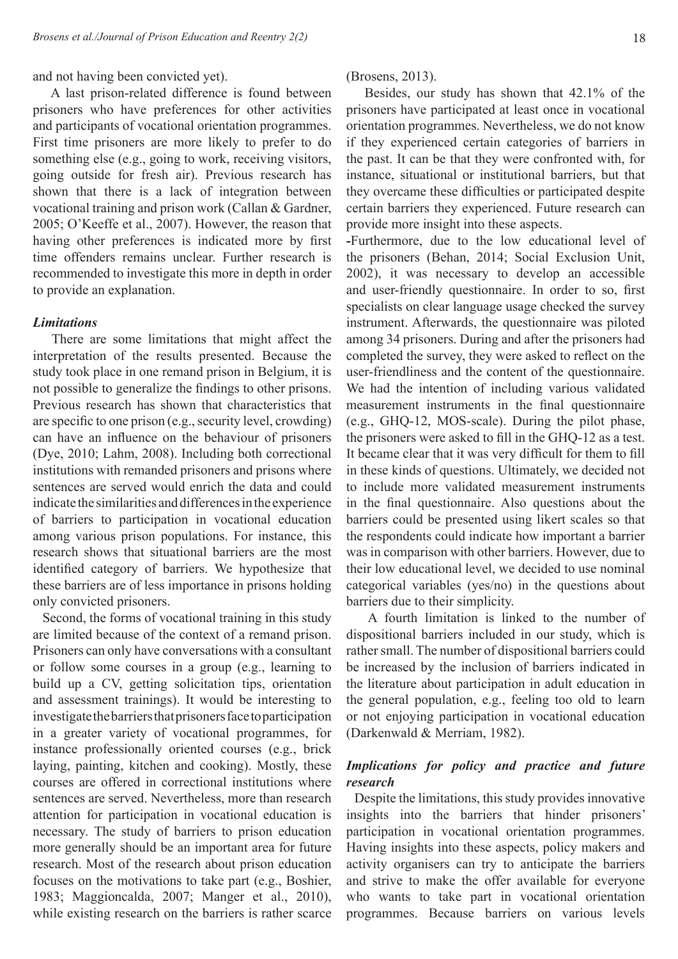and not having been convicted yet).

A last prison-related difference is found between prisoners who have preferences for other activities and participants of vocational orientation programmes. First time prisoners are more likely to prefer to do something else (e.g., going to work, receiving visitors, going outside for fresh air). Previous research has shown that there is a lack of integration between vocational training and prison work (Callan & Gardner, 2005; O'Keeffe et al., 2007). However, the reason that having other preferences is indicated more by first time offenders remains unclear. Further research is recommended to investigate this more in depth in order to provide an explanation.

## *Limitations*

There are some limitations that might affect the interpretation of the results presented. Because the study took place in one remand prison in Belgium, it is not possible to generalize the findings to other prisons. Previous research has shown that characteristics that are specific to one prison (e.g., security level, crowding) can have an influence on the behaviour of prisoners (Dye, 2010; Lahm, 2008). Including both correctional institutions with remanded prisoners and prisons where sentences are served would enrich the data and could indicate the similarities and differences in the experience of barriers to participation in vocational education among various prison populations. For instance, this research shows that situational barriers are the most identified category of barriers. We hypothesize that these barriers are of less importance in prisons holding only convicted prisoners.

Second, the forms of vocational training in this study are limited because of the context of a remand prison. Prisoners can only have conversations with a consultant or follow some courses in a group (e.g., learning to build up a CV, getting solicitation tips, orientation and assessment trainings). It would be interesting to investigate the barriers that prisoners face to participation in a greater variety of vocational programmes, for instance professionally oriented courses (e.g., brick laying, painting, kitchen and cooking). Mostly, these courses are offered in correctional institutions where sentences are served. Nevertheless, more than research attention for participation in vocational education is necessary. The study of barriers to prison education more generally should be an important area for future research. Most of the research about prison education focuses on the motivations to take part (e.g., Boshier, 1983; Maggioncalda, 2007; Manger et al., 2010), while existing research on the barriers is rather scarce

(Brosens, 2013).

Besides, our study has shown that 42.1% of the prisoners have participated at least once in vocational orientation programmes. Nevertheless, we do not know if they experienced certain categories of barriers in the past. It can be that they were confronted with, for instance, situational or institutional barriers, but that they overcame these difficulties or participated despite certain barriers they experienced. Future research can provide more insight into these aspects.

*-*Furthermore, due to the low educational level of the prisoners (Behan, 2014; Social Exclusion Unit, 2002), it was necessary to develop an accessible and user-friendly questionnaire. In order to so, first specialists on clear language usage checked the survey instrument. Afterwards, the questionnaire was piloted among 34 prisoners. During and after the prisoners had completed the survey, they were asked to reflect on the user-friendliness and the content of the questionnaire. We had the intention of including various validated measurement instruments in the final questionnaire (e.g., GHQ-12, MOS-scale). During the pilot phase, the prisoners were asked to fill in the GHQ-12 as a test. It became clear that it was very difficult for them to fill in these kinds of questions. Ultimately, we decided not to include more validated measurement instruments in the final questionnaire. Also questions about the barriers could be presented using likert scales so that the respondents could indicate how important a barrier was in comparison with other barriers. However, due to their low educational level, we decided to use nominal categorical variables (yes/no) in the questions about barriers due to their simplicity.

A fourth limitation is linked to the number of dispositional barriers included in our study, which is rather small. The number of dispositional barriers could be increased by the inclusion of barriers indicated in the literature about participation in adult education in the general population, e.g., feeling too old to learn or not enjoying participation in vocational education (Darkenwald & Merriam, 1982).

# *Implications for policy and practice and future*  research

Despite the limitations, this study provides innovative insights into the barriers that hinder prisoners' participation in vocational orientation programmes. Having insights into these aspects, policy makers and activity organisers can try to anticipate the barriers and strive to make the offer available for everyone who wants to take part in vocational orientation programmes. Because barriers on various levels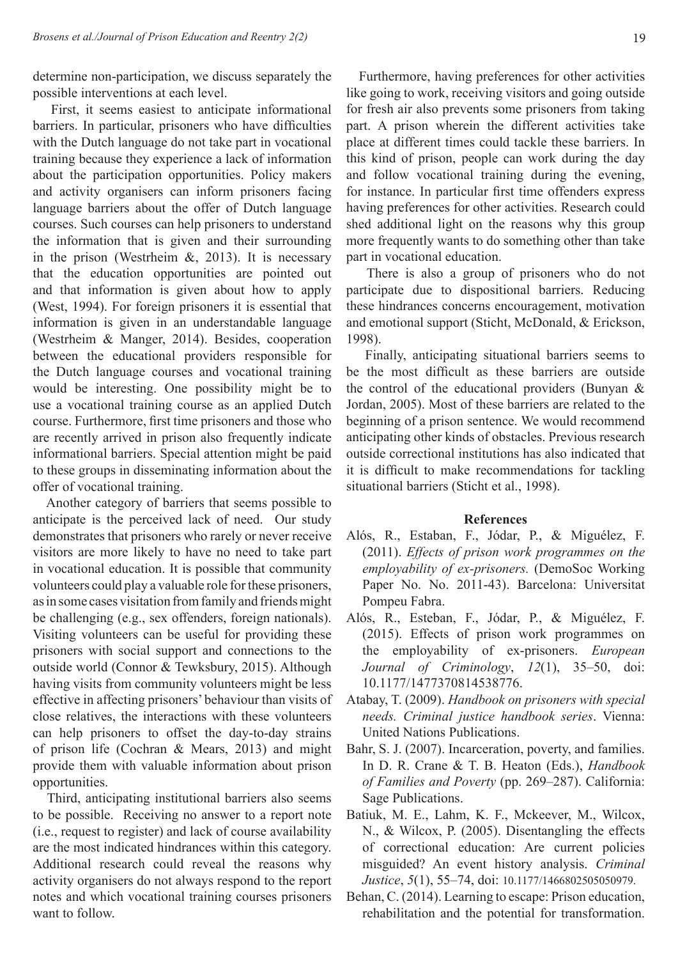determine non-participation, we discuss separately the possible interventions at each level.

First, it seems easiest to anticipate informational barriers. In particular, prisoners who have difficulties with the Dutch language do not take part in vocational training because they experience a lack of information about the participation opportunities. Policy makers and activity organisers can inform prisoners facing language barriers about the offer of Dutch language courses. Such courses can help prisoners to understand the information that is given and their surrounding in the prison (Westrheim  $\&$ , 2013). It is necessary that the education opportunities are pointed out and that information is given about how to apply (West, 1994). For foreign prisoners it is essential that information is given in an understandable language (Westrheim & Manger, 2014). Besides, cooperation between the educational providers responsible for the Dutch language courses and vocational training would be interesting. One possibility might be to use a vocational training course as an applied Dutch course. Furthermore, first time prisoners and those who are recently arrived in prison also frequently indicate informational barriers. Special attention might be paid to these groups in disseminating information about the offer of vocational training.

Another category of barriers that seems possible to anticipate is the perceived lack of need. Our study demonstrates that prisoners who rarely or never receive visitors are more likely to have no need to take part in vocational education. It is possible that community volunteers could play a valuable role for these prisoners, as in some cases visitation from family and friends might be challenging (e.g., sex offenders, foreign nationals). Visiting volunteers can be useful for providing these prisoners with social support and connections to the outside world (Connor & Tewksbury, 2015). Although having visits from community volunteers might be less effective in affecting prisoners' behaviour than visits of close relatives, the interactions with these volunteers can help prisoners to offset the day-to-day strains of prison life (Cochran & Mears, 2013) and might provide them with valuable information about prison opportunities.

Third, anticipating institutional barriers also seems to be possible. Receiving no answer to a report note (i.e., request to register) and lack of course availability are the most indicated hindrances within this category. Additional research could reveal the reasons why activity organisers do not always respond to the report notes and which vocational training courses prisoners want to follow.

Furthermore, having preferences for other activities like going to work, receiving visitors and going outside for fresh air also prevents some prisoners from taking part. A prison wherein the different activities take place at different times could tackle these barriers. In this kind of prison, people can work during the day and follow vocational training during the evening, for instance. In particular first time offenders express having preferences for other activities. Research could shed additional light on the reasons why this group more frequently wants to do something other than take part in vocational education.

There is also a group of prisoners who do not participate due to dispositional barriers. Reducing these hindrances concerns encouragement, motivation and emotional support (Sticht, McDonald, & Erickson, 1998).

Finally, anticipating situational barriers seems to be the most difficult as these barriers are outside the control of the educational providers (Bunyan & Jordan, 2005). Most of these barriers are related to the beginning of a prison sentence. We would recommend anticipating other kinds of obstacles. Previous research outside correctional institutions has also indicated that it is difficult to make recommendations for tackling situational barriers (Sticht et al., 1998).

#### **References**

- Alós, R., Estaban, F., Jódar, P., & Miguélez, F. (2011). *Effects of prison work programmes on the employability of ex-prisoners.* (DemoSoc Working Paper No. No. 2011-43). Barcelona: Universitat Pompeu Fabra.
- Alós, R., Esteban, F., Jódar, P., & Miguélez, F. (2015). Effects of prison work programmes on the employability of ex-prisoners. *European Journal of Criminology*, *12*(1), 35–50, doi: 10.1177/1477370814538776.
- Atabay, T. (2009). *Handbook on prisoners with special needs. Criminal justice handbook series*. Vienna: United Nations Publications.
- Bahr, S. J. (2007). Incarceration, poverty, and families. In D. R. Crane & T. B. Heaton (Eds.), *Handbook of Families and Poverty* (pp. 269–287). California: Sage Publications.
- Batiuk, M. E., Lahm, K. F., Mckeever, M., Wilcox, N., & Wilcox, P. (2005). Disentangling the effects of correctional education: Are current policies misguided? An event history analysis. *Criminal Justice*, *5*(1), 55–74, doi: 10.1177/1466802505050979.
- Behan, C. (2014). Learning to escape: Prison education, rehabilitation and the potential for transformation.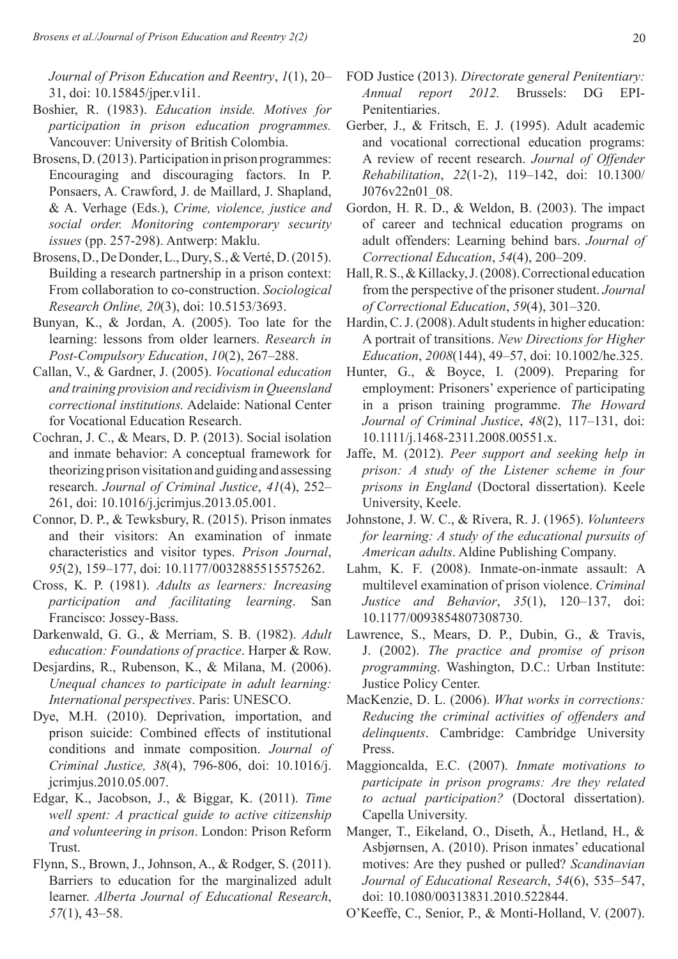*Journal of Prison Education and Reentry*, *1*(1), 20– 31, doi: 10.15845/jper.v1i1.

- Boshier, R. (1983). *Education inside. Motives for participation in prison education programmes.*  Vancouver: University of British Colombia.
- Brosens, D. (2013). Participation in prison programmes: Encouraging and discouraging factors. In P. Ponsaers, A. Crawford, J. de Maillard, J. Shapland, & A. Verhage (Eds.), *Crime, violence, justice and social order. Monitoring contemporary security issues* (pp. 257-298). Antwerp: Maklu.
- Brosens, D., De Donder, L., Dury, S., & Verté, D. (2015). Building a research partnership in a prison context: From collaboration to co-construction. *Sociological Research Online, 20*(3), doi: 10.5153/3693.
- Bunyan, K., & Jordan, A. (2005). Too late for the learning: lessons from older learners. *Research in Post-Compulsory Education*, *10*(2), 267–288.
- Callan, V., & Gardner, J. (2005). *Vocational education and training provision and recidivism in Queensland correctional institutions.* Adelaide: National Center for Vocational Education Research.
- Cochran, J. C., & Mears, D. P. (2013). Social isolation and inmate behavior: A conceptual framework for theorizing prison visitation and guiding and assessing research. *Journal of Criminal Justice*, *41*(4), 252– 261, doi: 10.1016/j.jcrimjus.2013.05.001.
- Connor, D. P., & Tewksbury, R. (2015). Prison inmates and their visitors: An examination of inmate characteristics and visitor types. *Prison Journal*, *95*(2), 159–177, doi: 10.1177/0032885515575262.
- Cross, K. P. (1981). *Adults as learners: Increasing participation and facilitating learning*. San Francisco: Jossey-Bass.
- Darkenwald, G. G., & Merriam, S. B. (1982). *Adult education: Foundations of practice*. Harper & Row.
- Desjardins, R., Rubenson, K., & Milana, M. (2006). *Unequal chances to participate in adult learning: International perspectives*. Paris: UNESCO.
- Dye, M.H. (2010). Deprivation, importation, and prison suicide: Combined effects of institutional conditions and inmate composition. *Journal of Criminal Justice, 38*(4), 796-806, doi: 10.1016/j. jcrimjus.2010.05.007.
- Edgar, K., Jacobson, J., & Biggar, K. (2011). *Time well spent: A practical guide to active citizenship and volunteering in prison*. London: Prison Reform Trust.
- Flynn, S., Brown, J., Johnson, A., & Rodger, S. (2011). Barriers to education for the marginalized adult learner. *Alberta Journal of Educational Research*, *57*(1), 43–58.
- FOD Justice (2013). *Directorate general Penitentiary: Annual report 2012.* Brussels: DG EPI-Penitentiaries.
- Gerber, J., & Fritsch, E. J. (1995). Adult academic and vocational correctional education programs: A review of recent research. *Journal of Offender Rehabilitation*, *22*(1-2), 119–142, doi: 10.1300/ J076v22n01\_08.
- Gordon, H. R. D., & Weldon, B. (2003). The impact of career and technical education programs on adult offenders: Learning behind bars. *Journal of Correctional Education*, *54*(4), 200–209.
- Hall, R. S., & Killacky, J. (2008). Correctional education from the perspective of the prisoner student. *Journal of Correctional Education*, *59*(4), 301–320.
- Hardin, C. J. (2008). Adult students in higher education: A portrait of transitions. *New Directions for Higher Education*, *2008*(144), 49–57, doi: 10.1002/he.325.
- Hunter, G., & Boyce, I. (2009). Preparing for employment: Prisoners' experience of participating in a prison training programme. *The Howard Journal of Criminal Justice*, *48*(2), 117–131, doi: 10.1111/j.1468-2311.2008.00551.x.
- Jaffe, M. (2012). *Peer support and seeking help in prison: A study of the Listener scheme in four prisons in England* (Doctoral dissertation). Keele University, Keele.
- Johnstone, J. W. C., & Rivera, R. J. (1965). *Volunteers for learning: A study of the educational pursuits of American adults*. Aldine Publishing Company.
- Lahm, K. F. (2008). Inmate-on-inmate assault: A multilevel examination of prison violence. *Criminal Justice and Behavior*, *35*(1), 120–137, doi: 10.1177/0093854807308730.
- Lawrence, S., Mears, D. P., Dubin, G., & Travis, J. (2002). *The practice and promise of prison programming*. Washington, D.C.: Urban Institute: Justice Policy Center.
- MacKenzie, D. L. (2006). *What works in corrections: Reducing the criminal activities of offenders and delinquents*. Cambridge: Cambridge University Press.
- Maggioncalda, E.C. (2007). *Inmate motivations to participate in prison programs: Are they related to actual participation?* (Doctoral dissertation). Capella University.
- Manger, T., Eikeland, O., Diseth, Å., Hetland, H., & Asbjørnsen, A. (2010). Prison inmates' educational motives: Are they pushed or pulled? *Scandinavian Journal of Educational Research*, *54*(6), 535–547, doi: 10.1080/00313831.2010.522844.
- O'Keeffe, C., Senior, P., & Monti-Holland, V. (2007).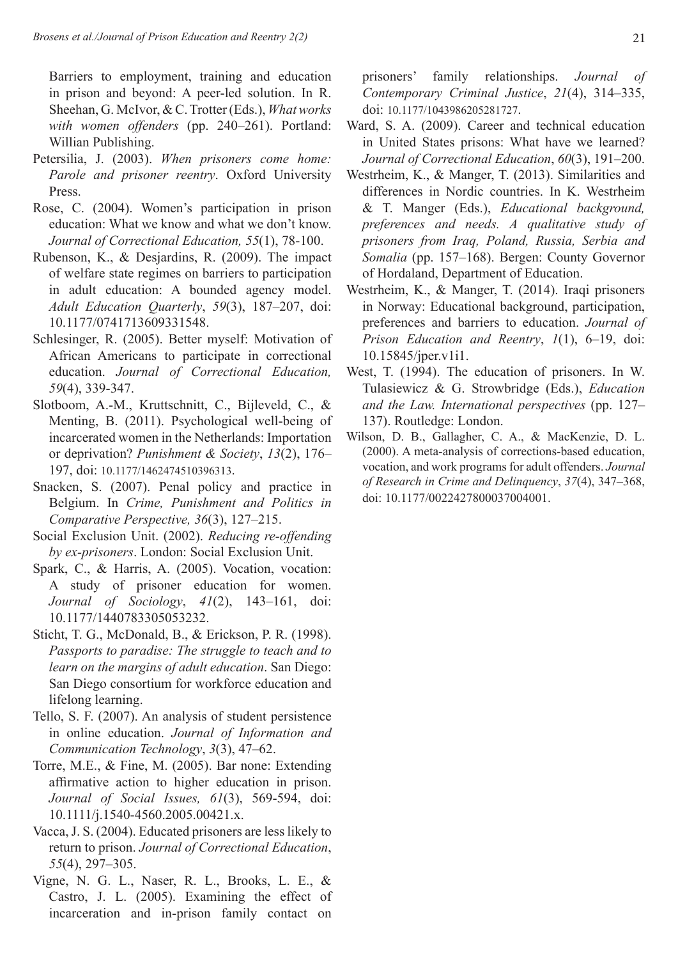Barriers to employment, training and education in prison and beyond: A peer-led solution. In R. Sheehan, G. McIvor, & C. Trotter (Eds.), *What works with women offenders* (pp. 240–261). Portland: Willian Publishing.

- Petersilia, J. (2003). *When prisoners come home: Parole and prisoner reentry*. Oxford University Press.
- Rose, C. (2004). Women's participation in prison education: What we know and what we don't know. *Journal of Correctional Education, 55*(1), 78-100.
- Rubenson, K., & Desjardins, R. (2009). The impact of welfare state regimes on barriers to participation in adult education: A bounded agency model. *Adult Education Quarterly*, *59*(3), 187–207, doi: 10.1177/0741713609331548.
- Schlesinger, R. (2005). Better myself: Motivation of African Americans to participate in correctional education. *Journal of Correctional Education, 59*(4), 339-347.
- Slotboom, A.-M., Kruttschnitt, C., Bijleveld, C., & Menting, B. (2011). Psychological well-being of incarcerated women in the Netherlands: Importation or deprivation? *Punishment & Society*, *13*(2), 176– 197, doi: 10.1177/1462474510396313.
- Snacken, S. (2007). Penal policy and practice in Belgium. In *Crime, Punishment and Politics in Comparative Perspective, 36*(3), 127–215.
- Social Exclusion Unit. (2002). *Reducing re-offending by ex-prisoners*. London: Social Exclusion Unit.
- Spark, C., & Harris, A. (2005). Vocation, vocation: A study of prisoner education for women. *Journal of Sociology*, *41*(2), 143–161, doi: 10.1177/1440783305053232.
- Sticht, T. G., McDonald, B., & Erickson, P. R. (1998). *Passports to paradise: The struggle to teach and to learn on the margins of adult education*. San Diego: San Diego consortium for workforce education and lifelong learning.
- Tello, S. F. (2007). An analysis of student persistence in online education. *Journal of Information and Communication Technology*, *3*(3), 47–62.
- Torre, M.E., & Fine, M. (2005). Bar none: Extending affirmative action to higher education in prison. *Journal of Social Issues, 61*(3), 569-594, doi: 10.1111/j.1540-4560.2005.00421.x.
- Vacca, J. S. (2004). Educated prisoners are less likely to return to prison. *Journal of Correctional Education*, *55*(4), 297–305.
- Vigne, N. G. L., Naser, R. L., Brooks, L. E., & Castro, J. L. (2005). Examining the effect of incarceration and in-prison family contact on

prisoners' family relationships. *Journal of Contemporary Criminal Justice*, *21*(4), 314–335, doi: 10.1177/1043986205281727.

- Ward, S. A. (2009). Career and technical education in United States prisons: What have we learned? *Journal of Correctional Education*, *60*(3), 191–200.
- Westrheim, K., & Manger, T. (2013). Similarities and differences in Nordic countries. In K. Westrheim & T. Manger (Eds.), *Educational background, preferences and needs. A qualitative study of prisoners from Iraq, Poland, Russia, Serbia and Somalia* (pp. 157–168). Bergen: County Governor of Hordaland, Department of Education.
- Westrheim, K., & Manger, T. (2014). Iraqi prisoners in Norway: Educational background, participation, preferences and barriers to education. *Journal of Prison Education and Reentry*, *1*(1), 6–19, doi: 10.15845/jper.v1i1.
- West, T. (1994). The education of prisoners. In W. Tulasiewicz & G. Strowbridge (Eds.), *Education and the Law. International perspectives* (pp. 127– 137). Routledge: London.
- Wilson, D. B., Gallagher, C. A., & MacKenzie, D. L. (2000). A meta-analysis of corrections-based education, vocation, and work programs for adult offenders. *Journal of Research in Crime and Delinquency*, *37*(4), 347–368, doi: 10.1177/0022427800037004001.